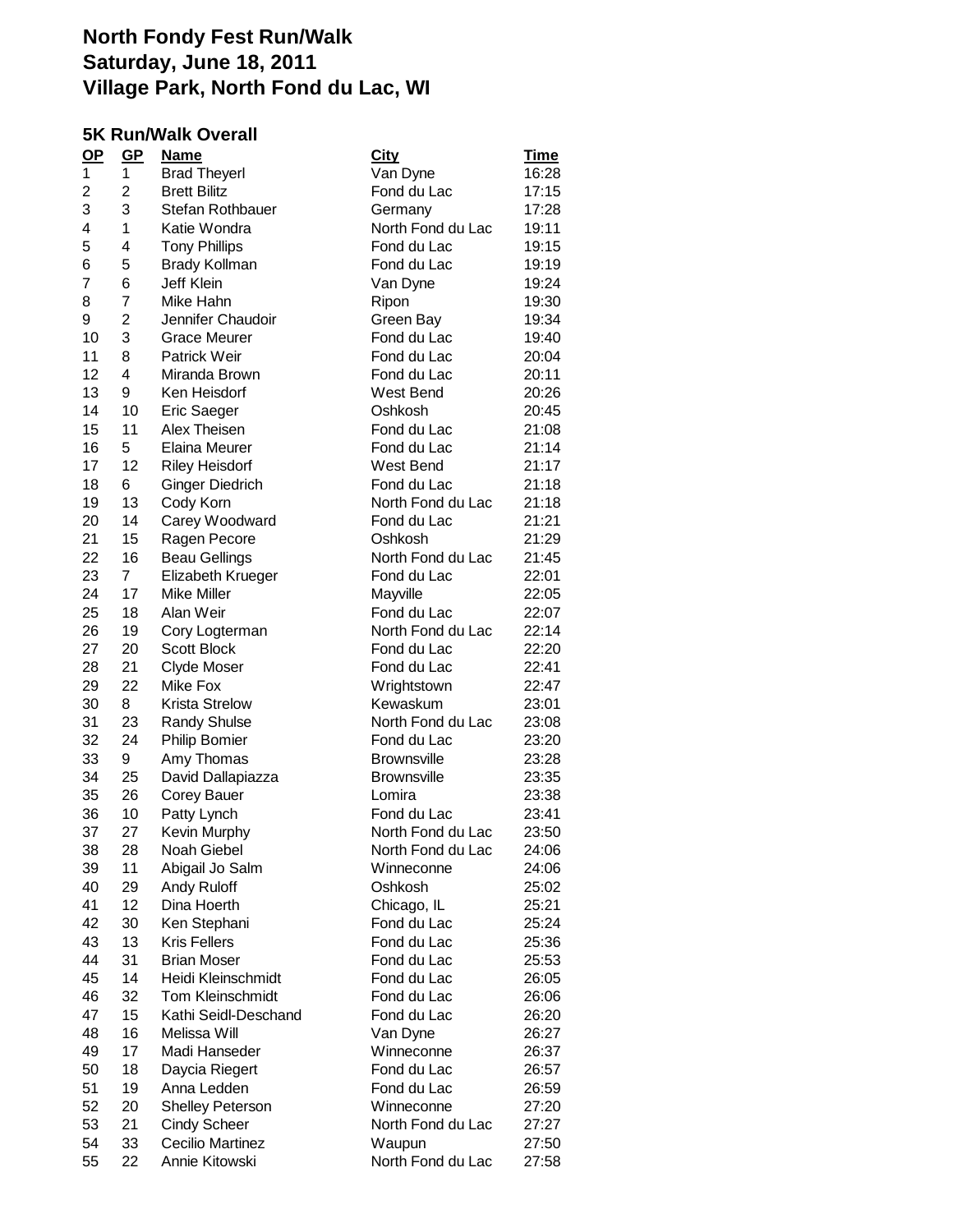#### **5K Run/Walk Overall**

| $OP$ | $GP$           | <u>Name</u>            | <b>City</b>        | <u>Time</u> |
|------|----------------|------------------------|--------------------|-------------|
| 1    | 1              | <b>Brad Theyerl</b>    | Van Dyne           | 16:28       |
| 2    | 2              | <b>Brett Bilitz</b>    | Fond du Lac        | 17:15       |
| 3    | 3              | Stefan Rothbauer       | Germany            | 17:28       |
| 4    | 1              | Katie Wondra           | North Fond du Lac  | 19:11       |
| 5    | 4              | <b>Tony Phillips</b>   | Fond du Lac        | 19:15       |
| 6    | 5              | <b>Brady Kollman</b>   | Fond du Lac        | 19:19       |
| 7    | 6              | <b>Jeff Klein</b>      | Van Dyne           | 19:24       |
| 8    | $\overline{7}$ | Mike Hahn              | Ripon              | 19:30       |
| 9    | $\overline{c}$ | Jennifer Chaudoir      | Green Bay          | 19:34       |
| 10   | 3              | <b>Grace Meurer</b>    | Fond du Lac        | 19:40       |
| 11   | 8              | <b>Patrick Weir</b>    | Fond du Lac        | 20:04       |
| 12   | 4              | Miranda Brown          | Fond du Lac        | 20:11       |
| 13   | 9              | Ken Heisdorf           | West Bend          | 20:26       |
| 14   | 10             | <b>Eric Saeger</b>     | Oshkosh            | 20:45       |
| 15   | 11             | Alex Theisen           | Fond du Lac        | 21:08       |
| 16   | 5              | Elaina Meurer          | Fond du Lac        | 21:14       |
| 17   | 12             | <b>Riley Heisdorf</b>  | West Bend          | 21:17       |
| 18   | 6              | <b>Ginger Diedrich</b> | Fond du Lac        | 21:18       |
| 19   | 13             | Cody Korn              | North Fond du Lac  | 21:18       |
| 20   | 14             | Carey Woodward         | Fond du Lac        | 21:21       |
| 21   | 15             | Ragen Pecore           | Oshkosh            | 21:29       |
| 22   | 16             | <b>Beau Gellings</b>   | North Fond du Lac  | 21:45       |
| 23   | 7              | Elizabeth Krueger      | Fond du Lac        | 22:01       |
| 24   | 17             | Mike Miller            | Mayville           | 22:05       |
| 25   | 18             | Alan Weir              | Fond du Lac        | 22:07       |
| 26   | 19             | Cory Logterman         | North Fond du Lac  | 22:14       |
| 27   | 20             | <b>Scott Block</b>     | Fond du Lac        | 22:20       |
| 28   | 21             | Clyde Moser            | Fond du Lac        | 22:41       |
| 29   | 22             | Mike Fox               | Wrightstown        | 22:47       |
| 30   | 8              | <b>Krista Strelow</b>  | Kewaskum           | 23:01       |
| 31   |                |                        | North Fond du Lac  |             |
|      | 23<br>24       | <b>Randy Shulse</b>    |                    | 23:08       |
| 32   |                | <b>Philip Bomier</b>   | Fond du Lac        | 23:20       |
| 33   | 9              | Amy Thomas             | Brownsville        | 23:28       |
| 34   | 25             | David Dallapiazza      | <b>Brownsville</b> | 23:35       |
| 35   | 26             | Corey Bauer            | Lomira             | 23:38       |
| 36   | 10             | Patty Lynch            | Fond du Lac        | 23:41       |
| 37   | 27             | Kevin Murphy           | North Fond du Lac  | 23:50       |
| 38   | 28             | Noah Giebel            | North Fond du Lac  | 24:06       |
| 39   | 11             | Abigail Jo Salm        | Winneconne         | 24:06       |
| 40   | 29             | Andy Ruloff            | Oshkosh            | 25:02       |
| 41   | 12             | Dina Hoerth            | Chicago, IL        | 25:21       |
| 42   | 30             | Ken Stephani           | Fond du Lac        | 25:24       |
| 43   | 13             | <b>Kris Fellers</b>    | Fond du Lac        | 25:36       |
| 44   | 31             | <b>Brian Moser</b>     | Fond du Lac        | 25:53       |
| 45   | 14             | Heidi Kleinschmidt     | Fond du Lac        | 26:05       |
| 46   | 32             | Tom Kleinschmidt       | Fond du Lac        | 26:06       |
| 47   | 15             | Kathi Seidl-Deschand   | Fond du Lac        | 26:20       |
| 48   | 16             | Melissa Will           | Van Dyne           | 26:27       |
| 49   | 17             | Madi Hanseder          | Winneconne         | 26:37       |
| 50   | 18             | Daycia Riegert         | Fond du Lac        | 26:57       |
| 51   | 19             | Anna Ledden            | Fond du Lac        | 26:59       |
| 52   | 20             | Shelley Peterson       | Winneconne         | 27:20       |
| 53   | 21             | <b>Cindy Scheer</b>    | North Fond du Lac  | 27:27       |
| 54   | 33             | Cecilio Martinez       | Waupun             | 27:50       |
| 55   | 22             | Annie Kitowski         | North Fond du Lac  | 27:58       |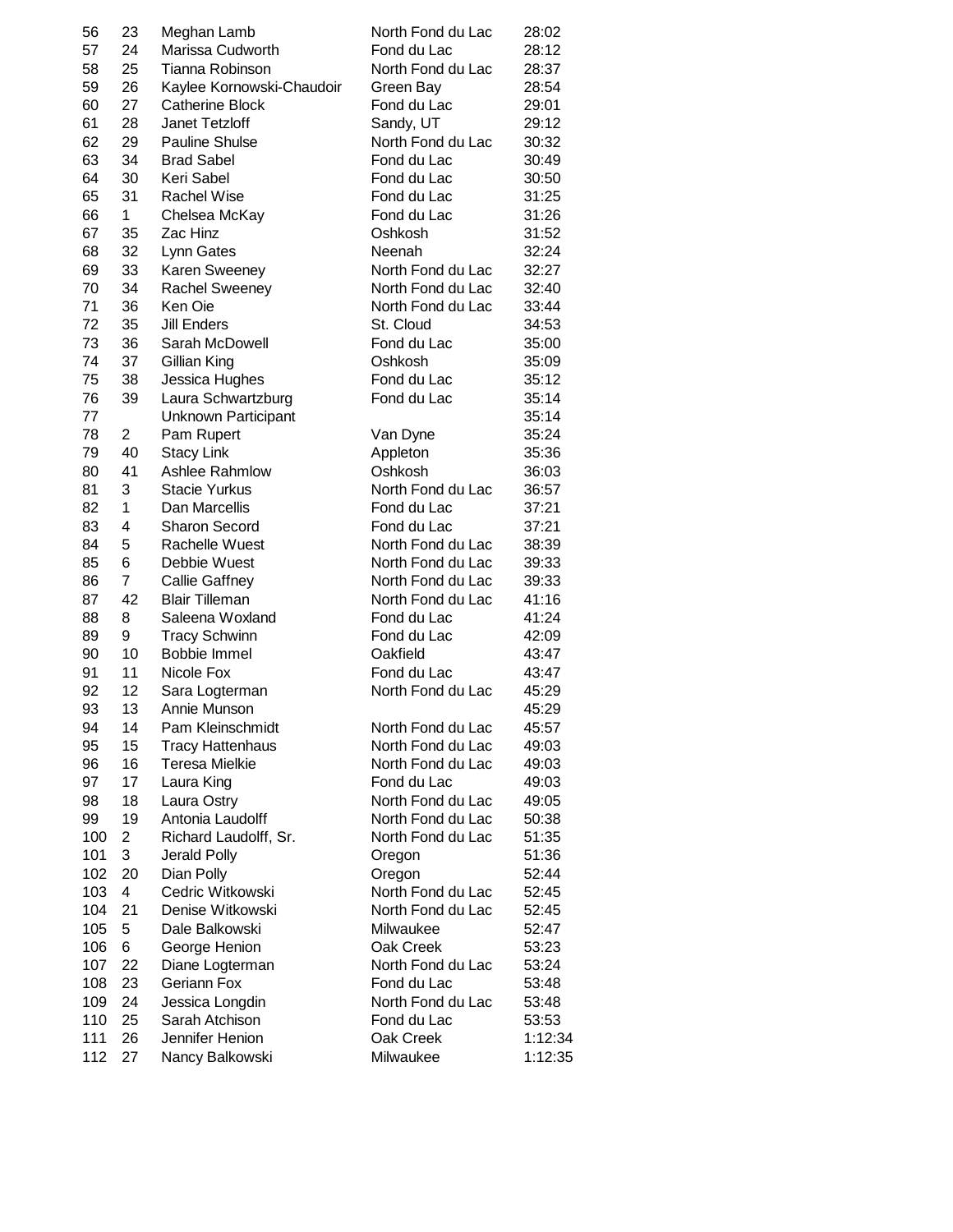| 56  | 23           | Meghan Lamb               | North Fond du Lac | 28:02   |
|-----|--------------|---------------------------|-------------------|---------|
| 57  | 24           | Marissa Cudworth          | Fond du Lac       | 28:12   |
| 58  | 25           | Tianna Robinson           | North Fond du Lac | 28:37   |
| 59  | 26           | Kaylee Kornowski-Chaudoir | Green Bay         | 28:54   |
| 60  | 27           | <b>Catherine Block</b>    | Fond du Lac       | 29:01   |
| 61  | 28           | Janet Tetzloff            | Sandy, UT         | 29:12   |
| 62  | 29           | <b>Pauline Shulse</b>     | North Fond du Lac | 30:32   |
| 63  | 34           | <b>Brad Sabel</b>         | Fond du Lac       | 30:49   |
| 64  | 30           | Keri Sabel                | Fond du Lac       | 30:50   |
| 65  | 31           | <b>Rachel Wise</b>        | Fond du Lac       | 31:25   |
| 66  | $\mathbf{1}$ | Chelsea McKay             | Fond du Lac       | 31:26   |
| 67  | 35           | Zac Hinz                  | Oshkosh           | 31:52   |
| 68  | 32           | Lynn Gates                | <b>Neenah</b>     | 32:24   |
| 69  | 33           | Karen Sweeney             | North Fond du Lac | 32:27   |
| 70  | 34           | Rachel Sweeney            | North Fond du Lac | 32:40   |
| 71  | 36           | Ken Oie                   | North Fond du Lac | 33:44   |
| 72  | 35           | Jill Enders               | St. Cloud         | 34:53   |
| 73  | 36           | Sarah McDowell            | Fond du Lac       | 35:00   |
| 74  | 37           | Gillian King              | Oshkosh           | 35:09   |
| 75  | 38           | Jessica Hughes            | Fond du Lac       | 35:12   |
| 76  | 39           |                           | Fond du Lac       | 35:14   |
|     |              | Laura Schwartzburg        |                   |         |
| 77  |              | Unknown Participant       |                   | 35:14   |
| 78  | 2            | Pam Rupert                | Van Dyne          | 35:24   |
| 79  | 40           | <b>Stacy Link</b>         | Appleton          | 35:36   |
| 80  | 41           | Ashlee Rahmlow            | Oshkosh           | 36:03   |
| 81  | 3            | <b>Stacie Yurkus</b>      | North Fond du Lac | 36:57   |
| 82  | $\mathbf{1}$ | Dan Marcellis             | Fond du Lac       | 37:21   |
| 83  | 4            | <b>Sharon Secord</b>      | Fond du Lac       | 37:21   |
| 84  | 5            | Rachelle Wuest            | North Fond du Lac | 38:39   |
| 85  | 6            | Debbie Wuest              | North Fond du Lac | 39:33   |
| 86  | 7            | <b>Callie Gaffney</b>     | North Fond du Lac | 39:33   |
| 87  | 42           | <b>Blair Tilleman</b>     | North Fond du Lac | 41:16   |
| 88  | 8            | Saleena Woxland           | Fond du Lac       | 41:24   |
| 89  | 9            | <b>Tracy Schwinn</b>      | Fond du Lac       | 42:09   |
| 90  | 10           | Bobbie Immel              | Oakfield          | 43:47   |
| 91  | 11           | Nicole Fox                | Fond du Lac       | 43:47   |
| 92  | 12           | Sara Logterman            | North Fond du Lac | 45:29   |
| 93  | 13           | Annie Munson              |                   | 45:29   |
| 94  | 14           | Pam Kleinschmidt          | North Fond du Lac | 45:57   |
| 95  | 15           | <b>Tracy Hattenhaus</b>   | North Fond du Lac | 49:03   |
| 96  | 16           | <b>Teresa Mielkie</b>     | North Fond du Lac | 49:03   |
| 97  | 17           | Laura King                | Fond du Lac       | 49:03   |
| 98  | 18           | Laura Ostry               | North Fond du Lac | 49:05   |
| 99  | 19           | Antonia Laudolff          | North Fond du Lac | 50:38   |
| 100 | 2            | Richard Laudolff, Sr.     | North Fond du Lac | 51:35   |
| 101 | 3            | Jerald Polly              | Oregon            | 51:36   |
| 102 | 20           | Dian Polly                | Oregon            | 52:44   |
| 103 | 4            | Cedric Witkowski          | North Fond du Lac | 52:45   |
| 104 | 21           | Denise Witkowski          | North Fond du Lac | 52:45   |
| 105 | 5            | Dale Balkowski            | Milwaukee         | 52:47   |
| 106 | 6            | George Henion             | Oak Creek         | 53:23   |
| 107 | 22           | Diane Logterman           | North Fond du Lac | 53:24   |
| 108 | 23           | Geriann Fox               | Fond du Lac       | 53:48   |
| 109 | 24           | Jessica Longdin           | North Fond du Lac | 53:48   |
| 110 | 25           | Sarah Atchison            | Fond du Lac       | 53:53   |
| 111 | 26           | Jennifer Henion           | Oak Creek         | 1:12:34 |
| 112 | 27           | Nancy Balkowski           | Milwaukee         | 1:12:35 |
|     |              |                           |                   |         |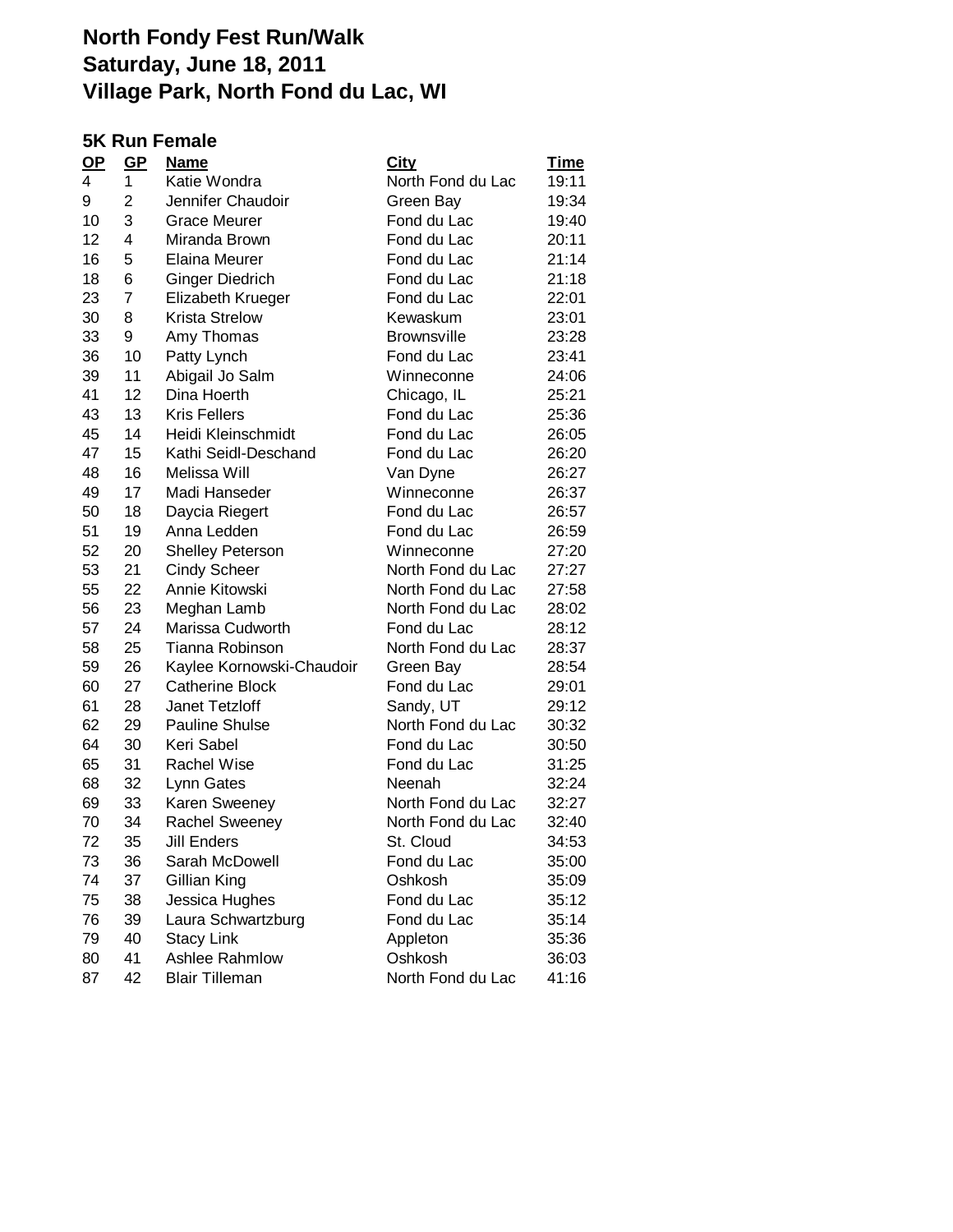#### **5K Run Female**

| $OP$ | GP             | <b>Name</b>               | <u>City</u>        | <u>Time</u> |
|------|----------------|---------------------------|--------------------|-------------|
| 4    | $\mathbf{1}$   | Katie Wondra              | North Fond du Lac  | 19:11       |
| 9    | 2              | Jennifer Chaudoir         | Green Bay          | 19:34       |
| 10   | 3              | Grace Meurer              | Fond du Lac        | 19:40       |
| 12   | 4              | Miranda Brown             | Fond du Lac        | 20:11       |
| 16   | 5              | Elaina Meurer             | Fond du Lac        | 21:14       |
| 18   | 6              | Ginger Diedrich           | Fond du Lac        | 21:18       |
| 23   | $\overline{7}$ | Elizabeth Krueger         | Fond du Lac        | 22:01       |
| 30   | 8              | <b>Krista Strelow</b>     | Kewaskum           | 23:01       |
| 33   | 9              | Amy Thomas                | <b>Brownsville</b> | 23:28       |
| 36   | 10             | Patty Lynch               | Fond du Lac        | 23:41       |
| 39   | 11             | Abigail Jo Salm           | Winneconne         | 24:06       |
| 41   | 12             | Dina Hoerth               | Chicago, IL        | 25:21       |
| 43   | 13             | <b>Kris Fellers</b>       | Fond du Lac        | 25:36       |
| 45   | 14             | Heidi Kleinschmidt        | Fond du Lac        | 26:05       |
| 47   | 15             | Kathi Seidl-Deschand      | Fond du Lac        | 26:20       |
| 48   | 16             | Melissa Will              | Van Dyne           | 26:27       |
| 49   | 17             | Madi Hanseder             | Winneconne         | 26:37       |
| 50   | 18             | Daycia Riegert            | Fond du Lac        | 26:57       |
| 51   | 19             | Anna Ledden               | Fond du Lac        | 26:59       |
| 52   | 20             | <b>Shelley Peterson</b>   | Winneconne         | 27:20       |
| 53   | 21             | <b>Cindy Scheer</b>       | North Fond du Lac  | 27:27       |
| 55   | 22             | Annie Kitowski            | North Fond du Lac  | 27:58       |
| 56   | 23             | Meghan Lamb               | North Fond du Lac  | 28:02       |
| 57   | 24             | Marissa Cudworth          | Fond du Lac        | 28:12       |
| 58   | 25             | Tianna Robinson           | North Fond du Lac  | 28:37       |
| 59   | 26             | Kaylee Kornowski-Chaudoir | Green Bay          | 28:54       |
| 60   | 27             | <b>Catherine Block</b>    | Fond du Lac        | 29:01       |
| 61   | 28             | Janet Tetzloff            | Sandy, UT          | 29:12       |
| 62   | 29             | <b>Pauline Shulse</b>     | North Fond du Lac  | 30:32       |
| 64   | 30             | Keri Sabel                | Fond du Lac        | 30:50       |
| 65   | 31             | <b>Rachel Wise</b>        | Fond du Lac        | 31:25       |
| 68   | 32             | Lynn Gates                | Neenah             | 32:24       |
| 69   | 33             | Karen Sweeney             | North Fond du Lac  | 32:27       |
| 70   | 34             | <b>Rachel Sweeney</b>     | North Fond du Lac  | 32:40       |
| 72   | 35             | <b>Jill Enders</b>        | St. Cloud          | 34:53       |
| 73   | 36             | Sarah McDowell            | Fond du Lac        | 35:00       |
| 74   | 37             | Gillian King              | Oshkosh            | 35:09       |
| 75   | 38             | Jessica Hughes            | Fond du Lac        | 35:12       |
| 76   | 39             | Laura Schwartzburg        | Fond du Lac        | 35:14       |
| 79   | 40             | <b>Stacy Link</b>         | Appleton           | 35:36       |
| 80   | 41             | Ashlee Rahmlow            | Oshkosh            | 36:03       |
| 87   | 42             | <b>Blair Tilleman</b>     | North Fond du Lac  | 41:16       |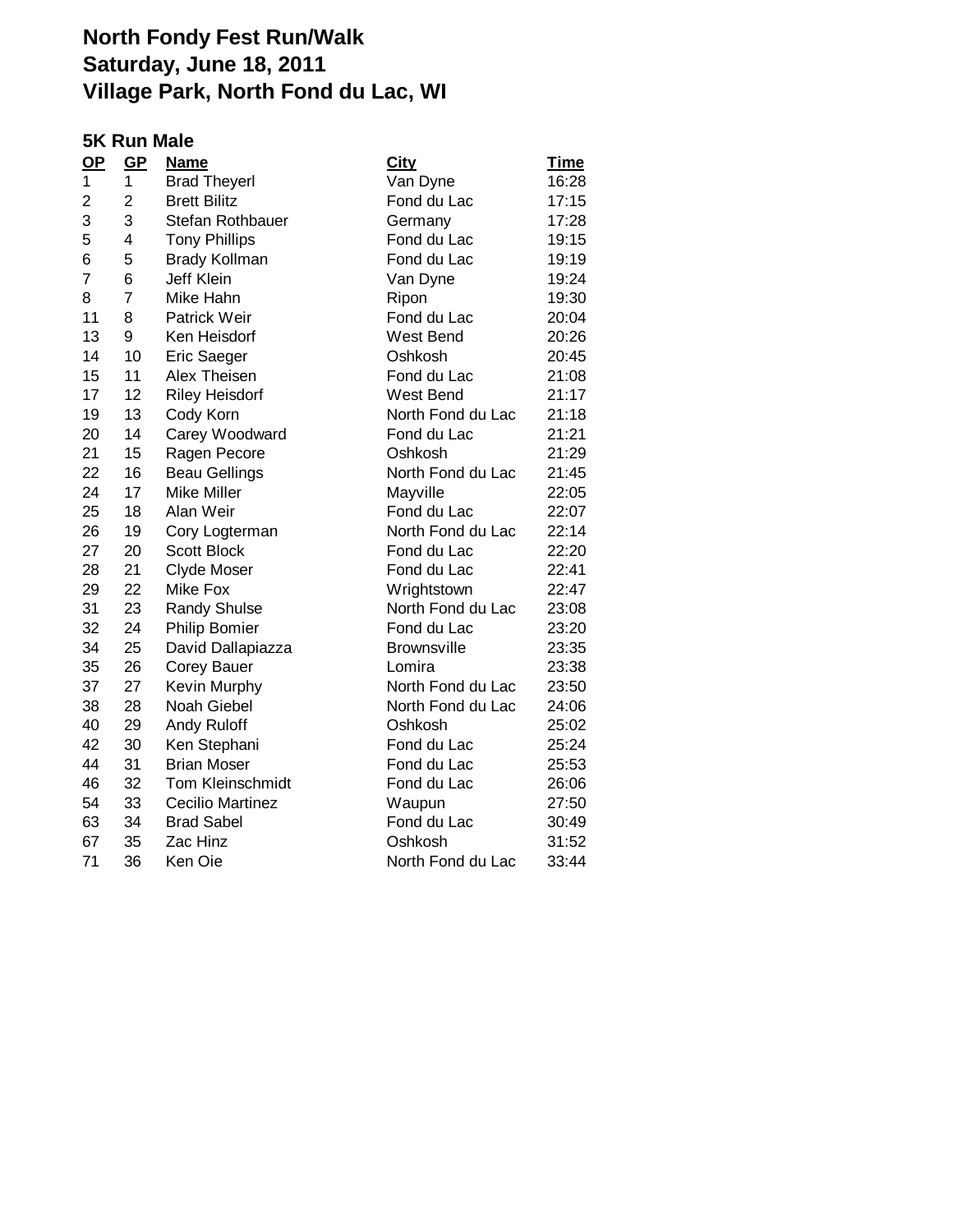#### **5K Run Male**

| $OP$ | GP             | <b>Name</b>             | <b>City</b>        | <u>Time</u> |
|------|----------------|-------------------------|--------------------|-------------|
| 1    | 1              | <b>Brad Theyerl</b>     | Van Dyne           | 16:28       |
| 2    | $\overline{2}$ | <b>Brett Bilitz</b>     | Fond du Lac        | 17:15       |
| 3    | 3              | Stefan Rothbauer        | Germany            | 17:28       |
| 5    | 4              | <b>Tony Phillips</b>    | Fond du Lac        | 19:15       |
| 6    | 5              | <b>Brady Kollman</b>    | Fond du Lac        | 19:19       |
| 7    | 6              | <b>Jeff Klein</b>       | Van Dyne           | 19:24       |
| 8    | $\overline{7}$ | Mike Hahn               | Ripon              | 19:30       |
| 11   | 8              | <b>Patrick Weir</b>     | Fond du Lac        | 20:04       |
| 13   | 9              | Ken Heisdorf            | West Bend          | 20:26       |
| 14   | 10             | Eric Saeger             | Oshkosh            | 20:45       |
| 15   | 11             | Alex Theisen            | Fond du Lac        | 21:08       |
| 17   | 12             | <b>Riley Heisdorf</b>   | West Bend          | 21:17       |
| 19   | 13             | Cody Korn               | North Fond du Lac  | 21:18       |
| 20   | 14             | Carey Woodward          | Fond du Lac        | 21:21       |
| 21   | 15             | Ragen Pecore            | Oshkosh            | 21:29       |
| 22   | 16             | <b>Beau Gellings</b>    | North Fond du Lac  | 21:45       |
| 24   | 17             | Mike Miller             | Mayville           | 22:05       |
| 25   | 18             | Alan Weir               | Fond du Lac        | 22:07       |
| 26   | 19             | Cory Logterman          | North Fond du Lac  | 22:14       |
| 27   | 20             | <b>Scott Block</b>      | Fond du Lac        | 22:20       |
| 28   | 21             | Clyde Moser             | Fond du Lac        | 22:41       |
| 29   | 22             | Mike Fox                | Wrightstown        | 22:47       |
| 31   | 23             | <b>Randy Shulse</b>     | North Fond du Lac  | 23:08       |
| 32   | 24             | <b>Philip Bomier</b>    | Fond du Lac        | 23:20       |
| 34   | 25             | David Dallapiazza       | <b>Brownsville</b> | 23:35       |
| 35   | 26             | Corey Bauer             | Lomira             | 23:38       |
| 37   | 27             | Kevin Murphy            | North Fond du Lac  | 23:50       |
| 38   | 28             | Noah Giebel             | North Fond du Lac  | 24:06       |
| 40   | 29             | Andy Ruloff             | Oshkosh            | 25:02       |
| 42   | 30             | Ken Stephani            | Fond du Lac        | 25:24       |
| 44   | 31             | <b>Brian Moser</b>      | Fond du Lac        | 25:53       |
| 46   | 32             | Tom Kleinschmidt        | Fond du Lac        | 26:06       |
| 54   | 33             | <b>Cecilio Martinez</b> | Waupun             | 27:50       |
| 63   | 34             | <b>Brad Sabel</b>       | Fond du Lac        | 30:49       |
| 67   | 35             | Zac Hinz                | Oshkosh            | 31:52       |
| 71   | 36             | Ken Oie                 | North Fond du Lac  | 33:44       |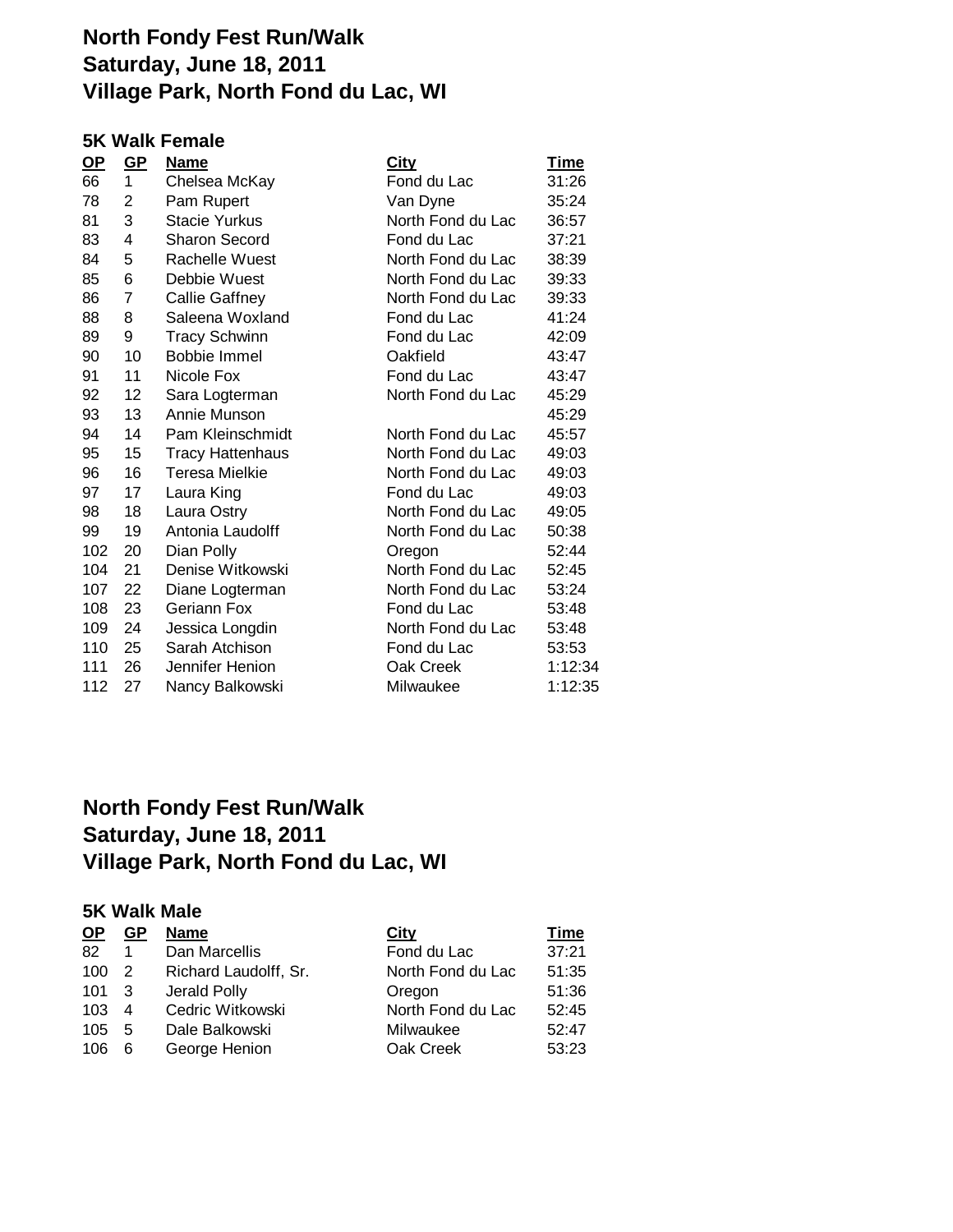#### **5K Walk Female**

| <u>GP</u> |                         | <u>City</u>                     | Time    |
|-----------|-------------------------|---------------------------------|---------|
| 1         | Chelsea McKay           | Fond du Lac                     | 31:26   |
| 2         | Pam Rupert              | Van Dyne                        | 35:24   |
| 3         | <b>Stacie Yurkus</b>    | North Fond du Lac               | 36:57   |
| 4         | <b>Sharon Secord</b>    | Fond du Lac                     | 37:21   |
| 5         | Rachelle Wuest          | North Fond du Lac               | 38:39   |
| 6         | Debbie Wuest            | North Fond du Lac               | 39:33   |
| 7         | <b>Callie Gaffney</b>   | North Fond du Lac               | 39:33   |
| 8         | Saleena Woxland         | Fond du Lac                     | 41:24   |
| 9         | <b>Tracy Schwinn</b>    | Fond du Lac                     | 42:09   |
| 10        | <b>Bobbie Immel</b>     | Oakfield                        | 43:47   |
| 11        | Nicole Fox              | Fond du Lac                     | 43:47   |
| 12        | Sara Logterman          | North Fond du Lac               | 45:29   |
| 13        | Annie Munson            |                                 | 45:29   |
| 14        |                         | North Fond du Lac               | 45:57   |
| 15        | <b>Tracy Hattenhaus</b> | North Fond du Lac               | 49:03   |
| 16        | <b>Teresa Mielkie</b>   | North Fond du Lac               | 49:03   |
| 17        | Laura King              | Fond du Lac                     | 49:03   |
| 18        | Laura Ostry             | North Fond du Lac               | 49:05   |
| 19        | Antonia Laudolff        | North Fond du Lac               | 50:38   |
| 20        | Dian Polly              | Oregon                          | 52:44   |
| 21        | Denise Witkowski        | North Fond du Lac               | 52:45   |
| 22        | Diane Logterman         | North Fond du Lac               | 53:24   |
| 23        | Geriann Fox             | Fond du Lac                     | 53:48   |
| 24        | Jessica Longdin         | North Fond du Lac               | 53:48   |
| 25        | Sarah Atchison          | Fond du Lac                     | 53:53   |
| 26        | Jennifer Henion         | Oak Creek                       | 1:12:34 |
| 27        | Nancy Balkowski         | Milwaukee                       | 1:12:35 |
|           |                         | <b>Name</b><br>Pam Kleinschmidt |         |

# **North Fondy Fest Run/Walk Saturday, June 18, 2011 Village Park, North Fond du Lac, WI**

#### **5K Walk Male**

| <b>OP</b> | <b>GP</b>      | <b>Name</b>           | City              | Time  |
|-----------|----------------|-----------------------|-------------------|-------|
| 82        |                | Dan Marcellis         | Fond du Lac       | 37:21 |
| 100       | $\overline{2}$ | Richard Laudolff, Sr. | North Fond du Lac | 51:35 |
| 101       | - 3            | Jerald Polly          | Oregon            | 51:36 |
| 103       | $\overline{4}$ | Cedric Witkowski      | North Fond du Lac | 52:45 |
| 105 5     |                | Dale Balkowski        | Milwaukee         | 52:47 |
| 106       | 6              | George Henion         | Oak Creek         | 53:23 |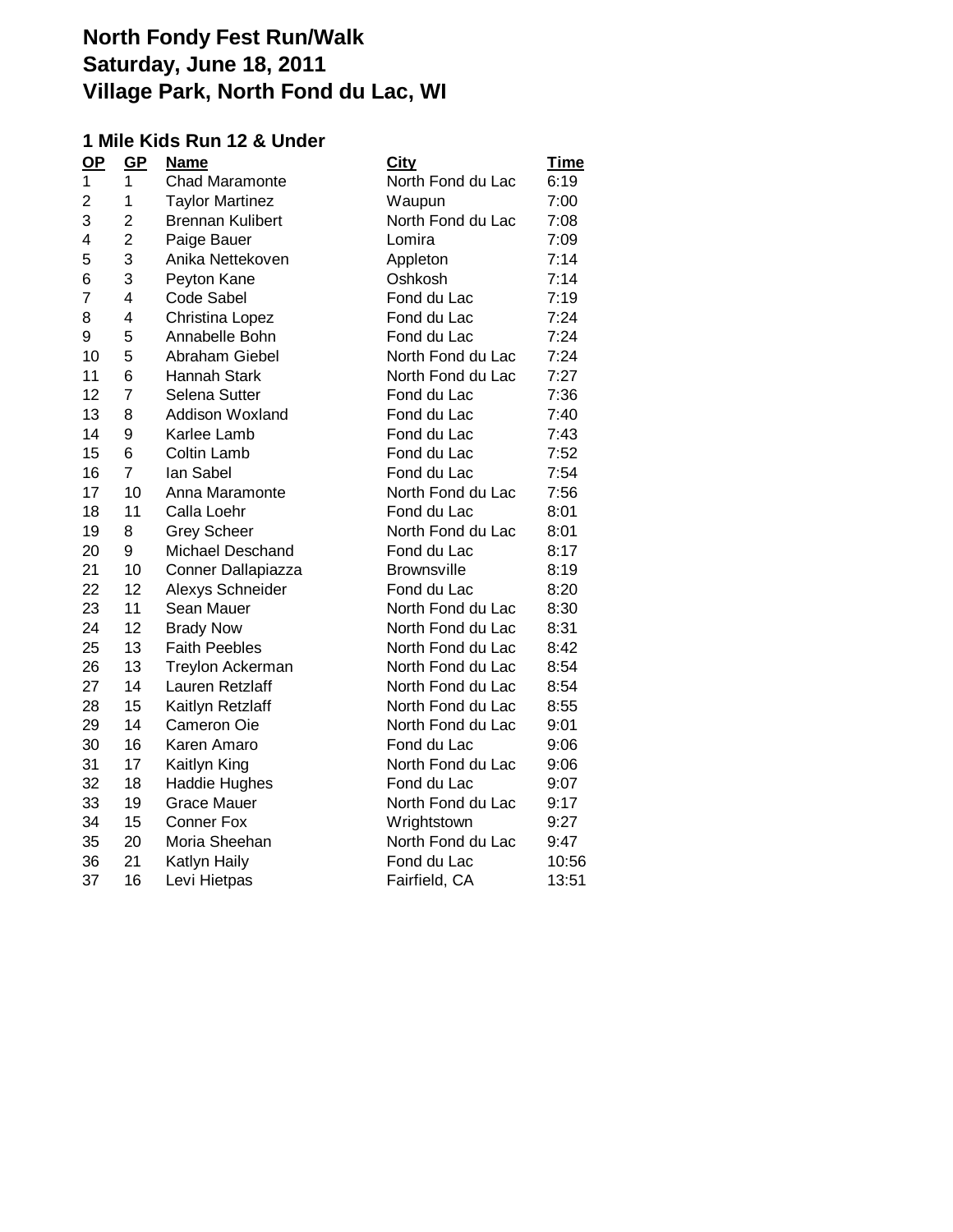### **1 Mile Kids Run 12 & Under**

| GP             | <b>Name</b>             | <b>City</b>        | <u>Time</u> |
|----------------|-------------------------|--------------------|-------------|
| 1              | <b>Chad Maramonte</b>   | North Fond du Lac  | 6:19        |
| 1              | <b>Taylor Martinez</b>  | Waupun             | 7:00        |
| 2              | <b>Brennan Kulibert</b> | North Fond du Lac  | 7:08        |
| $\overline{2}$ | Paige Bauer             | Lomira             | 7:09        |
| 3              | Anika Nettekoven        | Appleton           | 7:14        |
| 3              | Peyton Kane             | Oshkosh            | 7:14        |
| 4              | Code Sabel              | Fond du Lac        | 7:19        |
| 4              | Christina Lopez         | Fond du Lac        | 7:24        |
| 5              | Annabelle Bohn          | Fond du Lac        | 7:24        |
| 5              | Abraham Giebel          | North Fond du Lac  | 7:24        |
| 6              | Hannah Stark            | North Fond du Lac  | 7:27        |
| $\overline{7}$ | Selena Sutter           | Fond du Lac        | 7:36        |
| 8              | <b>Addison Woxland</b>  | Fond du Lac        | 7:40        |
| 9              | Karlee Lamb             | Fond du Lac        | 7:43        |
| 6              | Coltin Lamb             | Fond du Lac        | 7:52        |
| $\overline{7}$ | lan Sabel               | Fond du Lac        | 7:54        |
| 10             | Anna Maramonte          | North Fond du Lac  | 7:56        |
| 11             | Calla Loehr             | Fond du Lac        | 8:01        |
| 8              | <b>Grey Scheer</b>      | North Fond du Lac  | 8:01        |
| 9              | Michael Deschand        | Fond du Lac        | 8:17        |
| 10             | Conner Dallapiazza      | <b>Brownsville</b> | 8:19        |
| 12             | Alexys Schneider        | Fond du Lac        | 8:20        |
| 11             | Sean Mauer              | North Fond du Lac  | 8:30        |
| 12             | <b>Brady Now</b>        | North Fond du Lac  | 8:31        |
| 13             | <b>Faith Peebles</b>    | North Fond du Lac  | 8:42        |
| 13             | <b>Treylon Ackerman</b> | North Fond du Lac  | 8:54        |
| 14             | Lauren Retzlaff         | North Fond du Lac  | 8:54        |
| 15             | Kaitlyn Retzlaff        | North Fond du Lac  | 8:55        |
| 14             | <b>Cameron Oie</b>      | North Fond du Lac  | 9:01        |
| 16             | Karen Amaro             | Fond du Lac        | 9:06        |
| 17             | Kaitlyn King            | North Fond du Lac  | 9:06        |
| 18             | <b>Haddie Hughes</b>    | Fond du Lac        | 9:07        |
| 19             | <b>Grace Mauer</b>      | North Fond du Lac  | 9:17        |
| 15             | <b>Conner Fox</b>       | Wrightstown        | 9:27        |
| 20             | Moria Sheehan           | North Fond du Lac  | 9:47        |
| 21             | Katlyn Haily            | Fond du Lac        | 10:56       |
| 16             | Levi Hietpas            | Fairfield, CA      | 13:51       |
|                |                         |                    |             |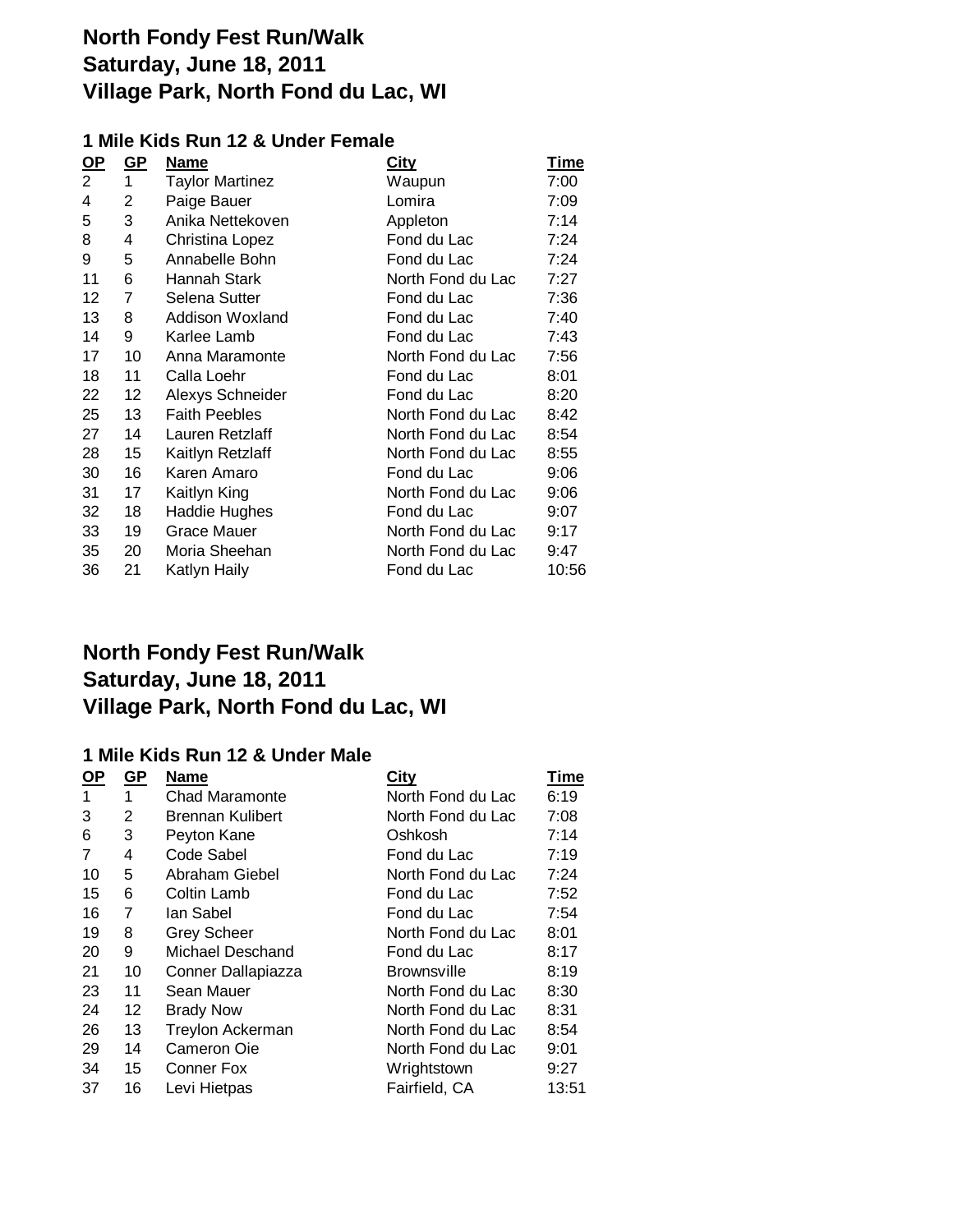### **1 Mile Kids Run 12 & Under Female**

| $\underline{\mathsf{OP}}$ | GP             | <b>Name</b>            | <b>City</b>       | <b>Time</b> |
|---------------------------|----------------|------------------------|-------------------|-------------|
| 2                         | 1              | <b>Taylor Martinez</b> | Waupun            | 7:00        |
| 4                         | 2              | Paige Bauer            | Lomira            | 7:09        |
| 5                         | 3              | Anika Nettekoven       | Appleton          | 7:14        |
| 8                         | 4              | Christina Lopez        | Fond du Lac       | 7:24        |
| 9                         | 5              | Annabelle Bohn         | Fond du Lac       | 7:24        |
| 11                        | 6              | Hannah Stark           | North Fond du Lac | 7:27        |
| 12                        | $\overline{7}$ | Selena Sutter          | Fond du Lac       | 7:36        |
| 13                        | 8              | Addison Woxland        | Fond du Lac       | 7:40        |
| 14                        | 9              | Karlee Lamb            | Fond du Lac       | 7:43        |
| 17                        | 10             | Anna Maramonte         | North Fond du Lac | 7:56        |
| 18                        | 11             | Calla Loehr            | Fond du Lac       | 8:01        |
| 22                        | 12             | Alexys Schneider       | Fond du Lac       | 8:20        |
| 25                        | 13             | <b>Faith Peebles</b>   | North Fond du Lac | 8:42        |
| 27                        | 14             | Lauren Retzlaff        | North Fond du Lac | 8:54        |
| 28                        | 15             | Kaitlyn Retzlaff       | North Fond du Lac | 8:55        |
| 30                        | 16             | Karen Amaro            | Fond du Lac       | 9:06        |
| 31                        | 17             | Kaitlyn King           | North Fond du Lac | 9:06        |
| 32                        | 18             | <b>Haddie Hughes</b>   | Fond du Lac       | 9:07        |
| 33                        | 19             | Grace Mauer            | North Fond du Lac | 9:17        |
| 35                        | 20             | Moria Sheehan          | North Fond du Lac | 9:47        |
| 36                        | 21             | Katlyn Haily           | Fond du Lac       | 10:56       |

# **North Fondy Fest Run/Walk Saturday, June 18, 2011 Village Park, North Fond du Lac, WI**

### **1 Mile Kids Run 12 & Under Male**

| <u>OP</u> | <u>GP</u> | Name                    | City               | <b>Time</b> |
|-----------|-----------|-------------------------|--------------------|-------------|
| 1         | 1         | <b>Chad Maramonte</b>   | North Fond du Lac  | 6:19        |
| 3         | 2         | <b>Brennan Kulibert</b> | North Fond du Lac  | 7:08        |
| 6         | 3         | Peyton Kane             | Oshkosh            | 7:14        |
| 7         | 4         | Code Sabel              | Fond du Lac        | 7:19        |
| 10        | 5         | Abraham Giebel          | North Fond du Lac  | 7:24        |
| 15        | 6         | Coltin Lamb             | Fond du Lac        | 7:52        |
| 16        | 7         | lan Sabel               | Fond du Lac        | 7:54        |
| 19        | 8         | <b>Grey Scheer</b>      | North Fond du Lac  | 8:01        |
| 20        | 9         | Michael Deschand        | Fond du Lac        | 8:17        |
| 21        | 10        | Conner Dallapiazza      | <b>Brownsville</b> | 8:19        |
| 23        | 11        | Sean Mauer              | North Fond du Lac  | 8:30        |
| 24        | 12        | <b>Brady Now</b>        | North Fond du Lac  | 8:31        |
| 26        | 13        | <b>Treylon Ackerman</b> | North Fond du Lac  | 8:54        |
| 29        | 14        | Cameron Oie             | North Fond du Lac  | 9:01        |
| 34        | 15        | <b>Conner Fox</b>       | Wrightstown        | 9:27        |
| 37        | 16        | Levi Hietpas            | Fairfield, CA      | 13:51       |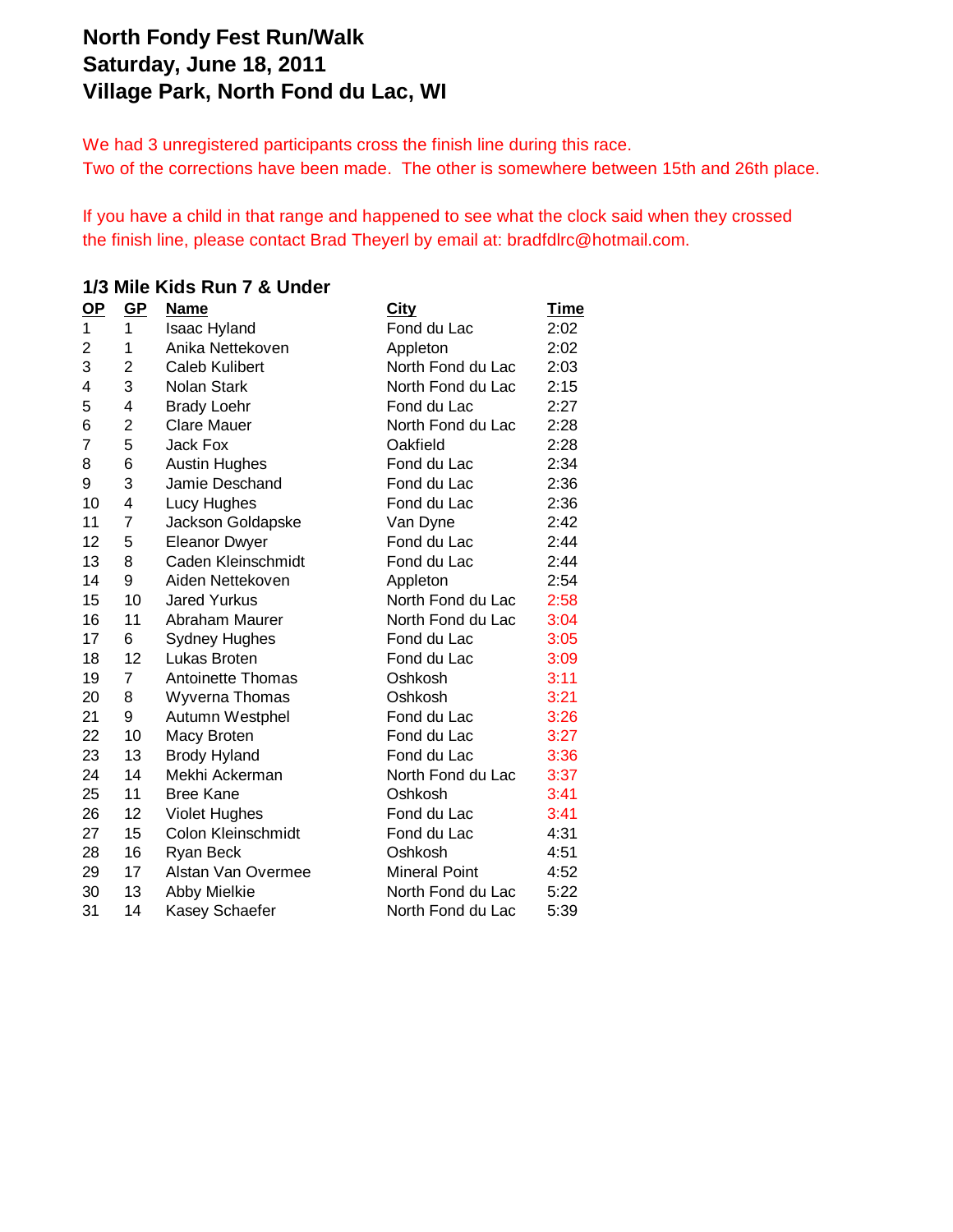We had 3 unregistered participants cross the finish line during this race. Two of the corrections have been made. The other is somewhere between 15th and 26th place.

If you have a child in that range and happened to see what the clock said when they crossed the finish line, please contact Brad Theyerl by email at: bradfdlrc@hotmail.com.

#### **1/3 Mile Kids Run 7 & Under**

| $\mathbf{Q}$   | GP             | <b>Name</b>              | <u>City</u>          | <u>Time</u> |
|----------------|----------------|--------------------------|----------------------|-------------|
| 1              | $\mathbf{1}$   | <b>Isaac Hyland</b>      | Fond du Lac          | 2:02        |
| $\overline{2}$ | 1              | Anika Nettekoven         | Appleton             | 2:02        |
| 3              | $\overline{2}$ | <b>Caleb Kulibert</b>    | North Fond du Lac    | 2:03        |
| 4              | 3              | <b>Nolan Stark</b>       | North Fond du Lac    | 2:15        |
| 5              | 4              | <b>Brady Loehr</b>       | Fond du Lac          | 2:27        |
| 6              | $\overline{2}$ | <b>Clare Mauer</b>       | North Fond du Lac    | 2:28        |
| 7              | 5              | Jack Fox                 | Oakfield             | 2:28        |
| 8              | 6              | <b>Austin Hughes</b>     | Fond du Lac          | 2:34        |
| 9              | 3              | Jamie Deschand           | Fond du Lac          | 2:36        |
| 10             | 4              | Lucy Hughes              | Fond du Lac          | 2:36        |
| 11             | 7              | Jackson Goldapske        | Van Dyne             | 2:42        |
| 12             | 5              | <b>Eleanor Dwyer</b>     | Fond du Lac          | 2:44        |
| 13             | 8              | Caden Kleinschmidt       | Fond du Lac          | 2:44        |
| 14             | 9              | Aiden Nettekoven         | Appleton             | 2:54        |
| 15             | 10             | <b>Jared Yurkus</b>      | North Fond du Lac    | 2:58        |
| 16             | 11             | Abraham Maurer           | North Fond du Lac    | 3:04        |
| 17             | 6              | <b>Sydney Hughes</b>     | Fond du Lac          | 3:05        |
| 18             | 12             | Lukas Broten             | Fond du Lac          | 3:09        |
| 19             | $\overline{7}$ | <b>Antoinette Thomas</b> | Oshkosh              | 3:11        |
| 20             | 8              | Wyverna Thomas           | Oshkosh              | 3:21        |
| 21             | 9              | Autumn Westphel          | Fond du Lac          | 3:26        |
| 22             | 10             | Macy Broten              | Fond du Lac          | 3:27        |
| 23             | 13             | <b>Brody Hyland</b>      | Fond du Lac          | 3:36        |
| 24             | 14             | Mekhi Ackerman           | North Fond du Lac    | 3:37        |
| 25             | 11             | <b>Bree Kane</b>         | Oshkosh              | 3:41        |
| 26             | 12             | <b>Violet Hughes</b>     | Fond du Lac          | 3:41        |
| 27             | 15             | Colon Kleinschmidt       | Fond du Lac          | 4:31        |
| 28             | 16             | Ryan Beck                | Oshkosh              | 4:51        |
| 29             | 17             | Alstan Van Overmee       | <b>Mineral Point</b> | 4:52        |
| 30             | 13             | Abby Mielkie             | North Fond du Lac    | 5:22        |
| 31             | 14             | Kasey Schaefer           | North Fond du Lac    | 5:39        |